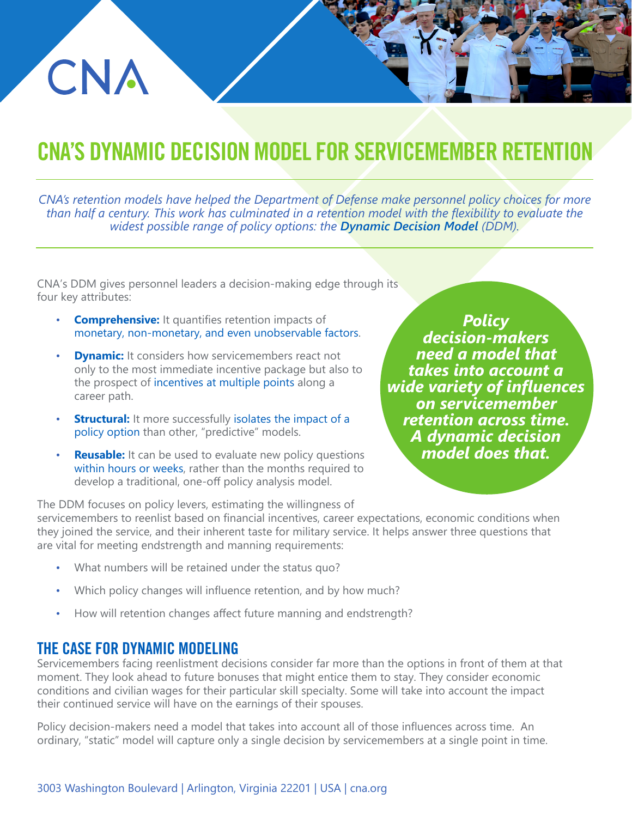# CNA'S DYNAMIC DECISION MODEL FOR SERVICEMEMBER RET

*CNA's retention models have helped the Department of Defense make personnel policy choices for more than half a century. This work has culminated in a retention model with the flexibility to evaluate the widest possible range of policy options: the Dynamic Decision Model (DDM).*

CNA's DDM gives personnel leaders a decision-making edge through its four key attributes:

- **Comprehensive:** It quantifies retention impacts of monetary, non-monetary, and even unobservable factors.
- **Dynamic:** It considers how servicemembers react not only to the most immediate incentive package but also to the prospect of incentives at multiple points along a career path.
- **Structural:** It more successfully isolates the impact of a policy option than other, "predictive" models.
- **Reusable:** It can be used to evaluate new policy questions within hours or weeks, rather than the months required to develop a traditional, one-off policy analysis model.

*Policy decision-makers need a model that takes into account a wide variety of influences on servicemember retention across time. A dynamic decision model does that.*

servicemembers to reenlist based on financial incentives, career expectations, economic conditions when they joined the service, and their inherent taste for military service. It helps answer three questions that are vital for meeting endstrength and manning requirements: The DDM focuses on policy levers, estimating the willingness of

- What numbers will be retained under the status quo?
- Which policy changes will influence retention, and by how much?
- How will retention changes affect future manning and endstrength?

#### THE CASE FOR DYNAMIC MODELING

CNA

Servicemembers facing reenlistment decisions consider far more than the options in front of them at that moment. They look ahead to future bonuses that might entice them to stay. They consider economic conditions and civilian wages for their particular skill specialty. Some will take into account the impact their continued service will have on the earnings of their spouses.

Policy decision-makers need a model that takes into account all of those influences across time. An ordinary, "static" model will capture only a single decision by servicemembers at a single point in time.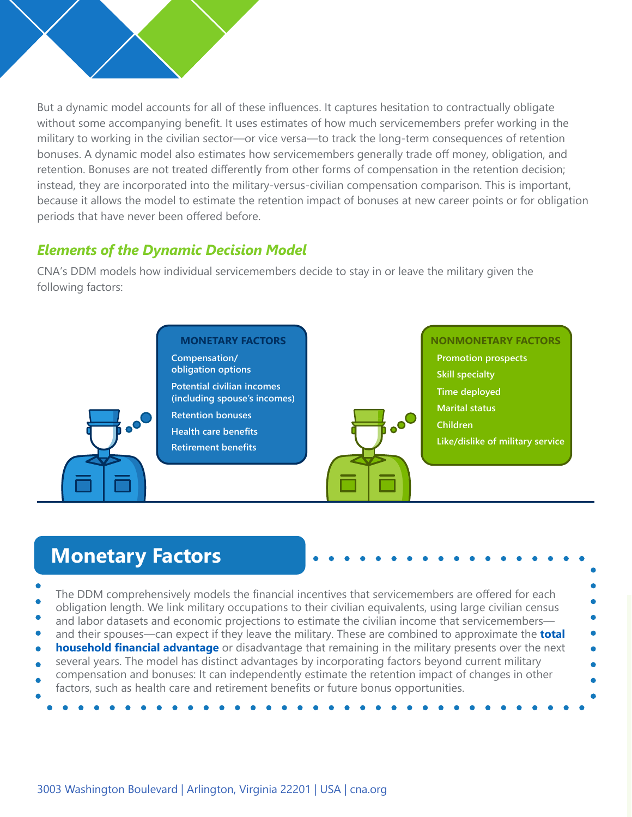

But a dynamic model accounts for all of these influences. It captures hesitation to contractually obligate without some accompanying benefit. It uses estimates of how much servicemembers prefer working in the military to working in the civilian sector—or vice versa—to track the long-term consequences of retention bonuses. A dynamic model also estimates how servicemembers generally trade off money, obligation, and retention. Bonuses are not treated differently from other forms of compensation in the retention decision; instead, they are incorporated into the military-versus-civilian compensation comparison. This is important, because it allows the model to estimate the retention impact of bonuses at new career points or for obligation periods that have never been offered before.

#### *Elements of the Dynamic Decision Model*

CNA's DDM models how individual servicemembers decide to stay in or leave the military given the following factors:



# **Monetary Factors**

- The DDM comprehensively models the financial incentives that servicemembers are offered for each obligation length. We link military occupations to their civilian equivalents, using large civilian census
- and labor datasets and economic projections to estimate the civilian income that servicemembers—
- and their spouses—can expect if they leave the military. These are combined to approximate the **total**
- **household financial advantage** or disadvantage that remaining in the military presents over the next
- several years. The model has distinct advantages by incorporating factors beyond current military compensation and bonuses: It can independently estimate the retention impact of changes in other
- factors, such as health care and retirement benefits or future bonus opportunities.